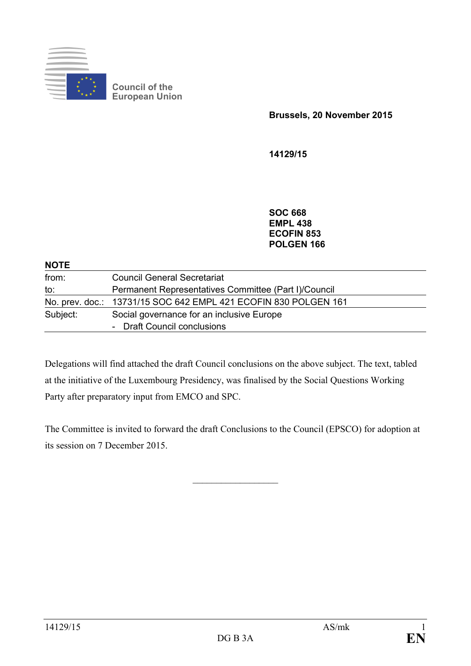

**Council of the European Union**

**Brussels, 20 November 2015**

**14129/15**

**SOC 668 EMPL 438 ECOFIN 853 POLGEN 166**

#### **NOTE**

| from:    | <b>Council General Secretariat</b>                              |
|----------|-----------------------------------------------------------------|
| to:      | Permanent Representatives Committee (Part I)/Council            |
|          | No. prev. doc.: 13731/15 SOC 642 EMPL 421 ECOFIN 830 POLGEN 161 |
| Subject: | Social governance for an inclusive Europe                       |
|          | - Draft Council conclusions                                     |

Delegations will find attached the draft Council conclusions on the above subject. The text, tabled at the initiative of the Luxembourg Presidency, was finalised by the Social Questions Working Party after preparatory input from EMCO and SPC.

The Committee is invited to forward the draft Conclusions to the Council (EPSCO) for adoption at its session on 7 December 2015.

 $\frac{1}{2}$  ,  $\frac{1}{2}$  ,  $\frac{1}{2}$  ,  $\frac{1}{2}$  ,  $\frac{1}{2}$  ,  $\frac{1}{2}$  ,  $\frac{1}{2}$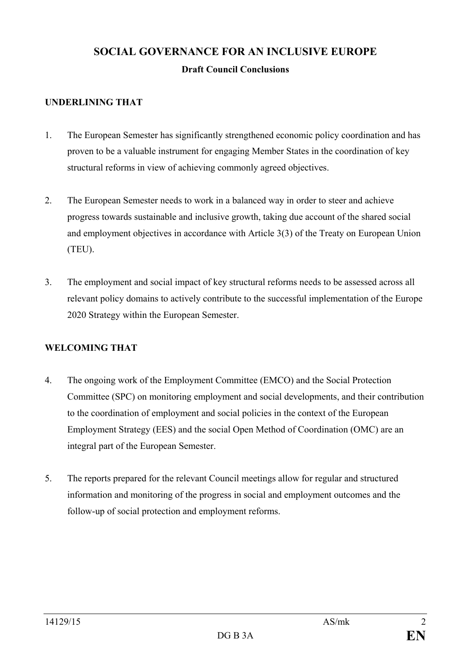# **SOCIAL GOVERNANCE FOR AN INCLUSIVE EUROPE**

## **Draft Council Conclusions**

## **UNDERLINING THAT**

- 1. The European Semester has significantly strengthened economic policy coordination and has proven to be a valuable instrument for engaging Member States in the coordination of key structural reforms in view of achieving commonly agreed objectives.
- 2. The European Semester needs to work in a balanced way in order to steer and achieve progress towards sustainable and inclusive growth, taking due account of the shared social and employment objectives in accordance with Article 3(3) of the Treaty on European Union (TEU).
- 3. The employment and social impact of key structural reforms needs to be assessed across all relevant policy domains to actively contribute to the successful implementation of the Europe 2020 Strategy within the European Semester.

## **WELCOMING THAT**

- 4. The ongoing work of the Employment Committee (EMCO) and the Social Protection Committee (SPC) on monitoring employment and social developments, and their contribution to the coordination of employment and social policies in the context of the European Employment Strategy (EES) and the social Open Method of Coordination (OMC) are an integral part of the European Semester.
- 5. The reports prepared for the relevant Council meetings allow for regular and structured information and monitoring of the progress in social and employment outcomes and the follow-up of social protection and employment reforms.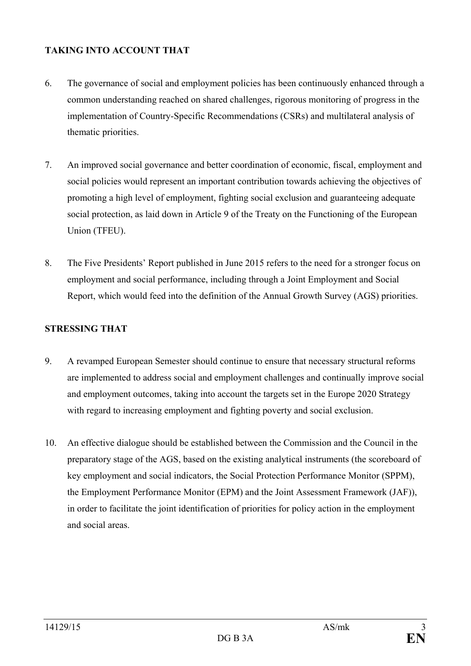#### **TAKING INTO ACCOUNT THAT**

- 6. The governance of social and employment policies has been continuously enhanced through a common understanding reached on shared challenges, rigorous monitoring of progress in the implementation of Country-Specific Recommendations (CSRs) and multilateral analysis of thematic priorities.
- 7. An improved social governance and better coordination of economic, fiscal, employment and social policies would represent an important contribution towards achieving the objectives of promoting a high level of employment, fighting social exclusion and guaranteeing adequate social protection, as laid down in Article 9 of the Treaty on the Functioning of the European Union (TFEU).
- 8. The Five Presidents' Report published in June 2015 refers to the need for a stronger focus on employment and social performance, including through a Joint Employment and Social Report, which would feed into the definition of the Annual Growth Survey (AGS) priorities.

## **STRESSING THAT**

- 9. A revamped European Semester should continue to ensure that necessary structural reforms are implemented to address social and employment challenges and continually improve social and employment outcomes, taking into account the targets set in the Europe 2020 Strategy with regard to increasing employment and fighting poverty and social exclusion.
- 10. An effective dialogue should be established between the Commission and the Council in the preparatory stage of the AGS, based on the existing analytical instruments (the scoreboard of key employment and social indicators, the Social Protection Performance Monitor (SPPM), the Employment Performance Monitor (EPM) and the Joint Assessment Framework (JAF)), in order to facilitate the joint identification of priorities for policy action in the employment and social areas.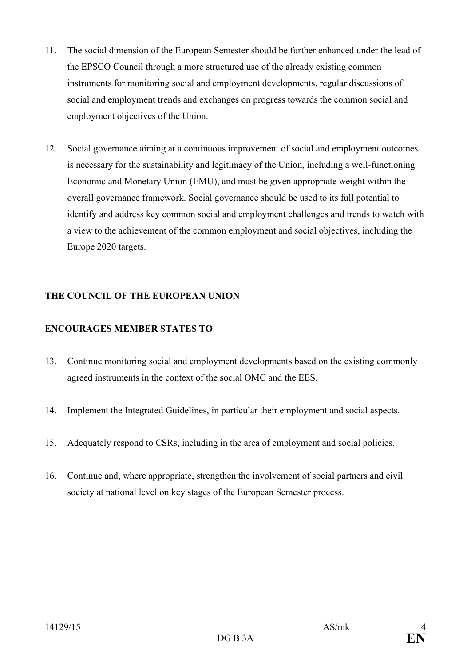- 11. The social dimension of the European Semester should be further enhanced under the lead of the EPSCO Council through a more structured use of the already existing common instruments for monitoring social and employment developments, regular discussions of social and employment trends and exchanges on progress towards the common social and employment objectives of the Union.
- 12. Social governance aiming at a continuous improvement of social and employment outcomes is necessary for the sustainability and legitimacy of the Union, including a well-functioning Economic and Monetary Union (EMU), and must be given appropriate weight within the overall governance framework. Social governance should be used to its full potential to identify and address key common social and employment challenges and trends to watch with a view to the achievement of the common employment and social objectives, including the Europe 2020 targets.

## **THE COUNCIL OF THE EUROPEAN UNION**

## **ENCOURAGES MEMBER STATES TO**

- 13. Continue monitoring social and employment developments based on the existing commonly agreed instruments in the context of the social OMC and the EES.
- 14. Implement the Integrated Guidelines, in particular their employment and social aspects.
- 15. Adequately respond to CSRs, including in the area of employment and social policies.
- 16. Continue and, where appropriate, strengthen the involvement of social partners and civil society at national level on key stages of the European Semester process.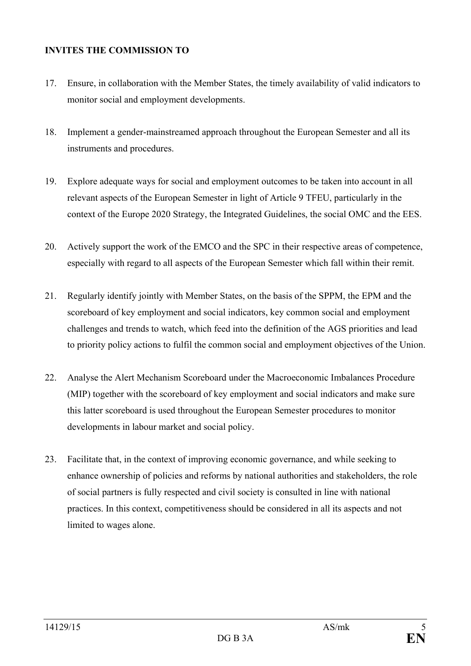#### **INVITES THE COMMISSION TO**

- 17. Ensure, in collaboration with the Member States, the timely availability of valid indicators to monitor social and employment developments.
- 18. Implement a gender-mainstreamed approach throughout the European Semester and all its instruments and procedures.
- 19. Explore adequate ways for social and employment outcomes to be taken into account in all relevant aspects of the European Semester in light of Article 9 TFEU, particularly in the context of the Europe 2020 Strategy, the Integrated Guidelines, the social OMC and the EES.
- 20. Actively support the work of the EMCO and the SPC in their respective areas of competence, especially with regard to all aspects of the European Semester which fall within their remit.
- 21. Regularly identify jointly with Member States, on the basis of the SPPM, the EPM and the scoreboard of key employment and social indicators, key common social and employment challenges and trends to watch, which feed into the definition of the AGS priorities and lead to priority policy actions to fulfil the common social and employment objectives of the Union.
- 22. Analyse the Alert Mechanism Scoreboard under the Macroeconomic Imbalances Procedure (MIP) together with the scoreboard of key employment and social indicators and make sure this latter scoreboard is used throughout the European Semester procedures to monitor developments in labour market and social policy.
- 23. Facilitate that, in the context of improving economic governance, and while seeking to enhance ownership of policies and reforms by national authorities and stakeholders, the role of social partners is fully respected and civil society is consulted in line with national practices. In this context, competitiveness should be considered in all its aspects and not limited to wages alone.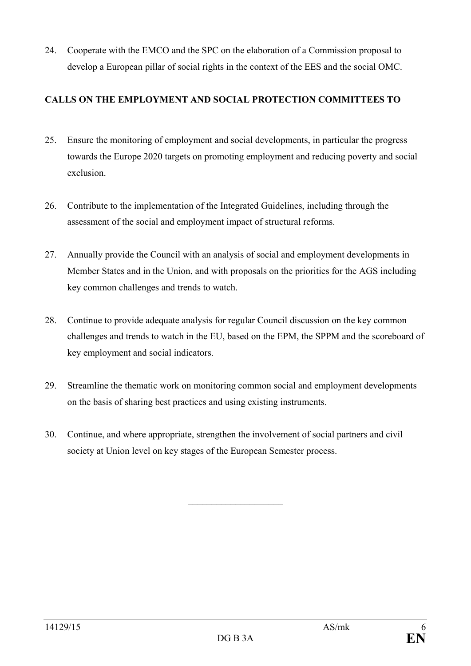24. Cooperate with the EMCO and the SPC on the elaboration of a Commission proposal to develop a European pillar of social rights in the context of the EES and the social OMC.

## **CALLS ON THE EMPLOYMENT AND SOCIAL PROTECTION COMMITTEES TO**

- 25. Ensure the monitoring of employment and social developments, in particular the progress towards the Europe 2020 targets on promoting employment and reducing poverty and social exclusion.
- 26. Contribute to the implementation of the Integrated Guidelines, including through the assessment of the social and employment impact of structural reforms.
- 27. Annually provide the Council with an analysis of social and employment developments in Member States and in the Union, and with proposals on the priorities for the AGS including key common challenges and trends to watch.
- 28. Continue to provide adequate analysis for regular Council discussion on the key common challenges and trends to watch in the EU, based on the EPM, the SPPM and the scoreboard of key employment and social indicators.
- 29. Streamline the thematic work on monitoring common social and employment developments on the basis of sharing best practices and using existing instruments.
- 30. Continue, and where appropriate, strengthen the involvement of social partners and civil society at Union level on key stages of the European Semester process.

 $\overline{\phantom{a}}$  , and the set of the set of the set of the set of the set of the set of the set of the set of the set of the set of the set of the set of the set of the set of the set of the set of the set of the set of the s